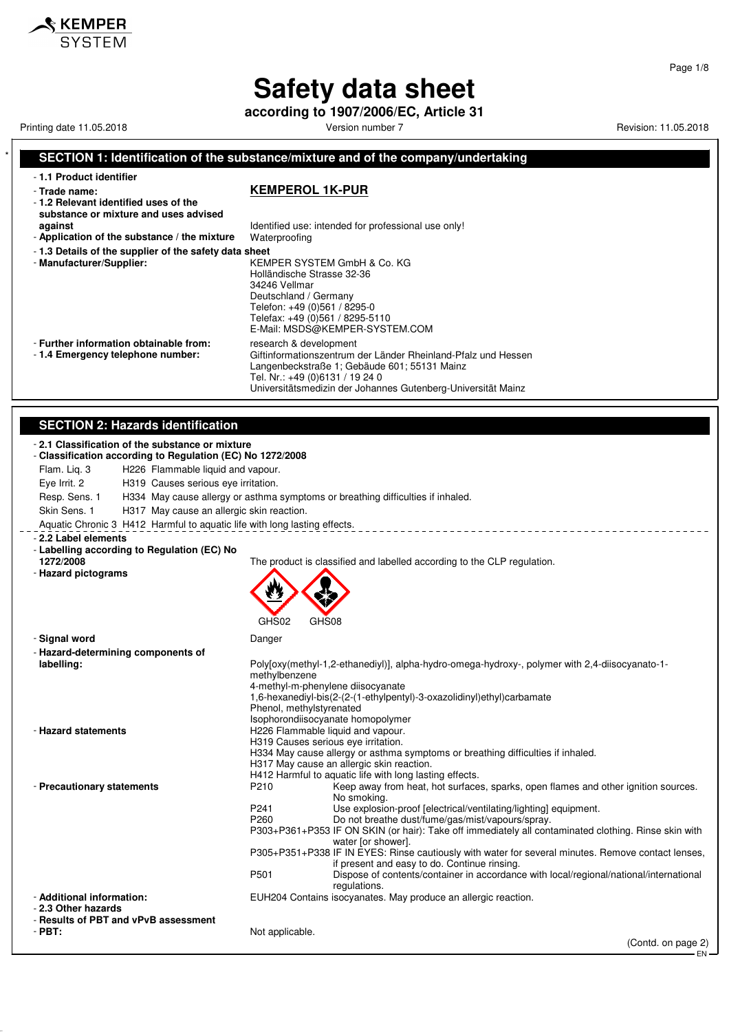**according to 1907/2006/EC, Article 31**

Printing date 11.05.2018 **Printing date 11.05.2018** Version number 7 **Revision: 11.05.2018** Revision: 11.05.2018

 $\triangle$  KEMPER SYSTEM

Giftinformationszentrum der Länder Rheinland-Pfalz und Hessen

Universitätsmedizin der Johannes Gutenberg-Universität Mainz

Langenbeckstraße 1; Gebäude 601; 55131 Mainz

Tel. Nr.: +49 (0)6131 / 19 24 0

#### **SECTION 1: Identification of the substance/mixture and of the company/undertaking** - **1.1 Product identifier** - **Trade name: KEMPEROL 1K-PUR** - **1.2 Relevant identified uses of the substance or mixture and uses advised against against Identified use: intended for professional use only!**<br>**Application of the substance / the mixture** Waterproofing - Application of the substance / the mixture - **1.3 Details of the supplier of the safety data sheet** - **Manufacturer/Supplier:** KEMPER SYSTEM GmbH & Co. KG Holländische Strasse 32-36

34246 Vellmar Deutschland / Germany Telefon: +49 (0)561 / 8295-0 Telefax: +49 (0)561 / 8295-5110 E-Mail: MSDS@KEMPER-SYSTEM.COM

- **Further information obtainable from:** research & development - 1.4 **Emergency telephone number:** Giftinformationszentrum

### **SECTION 2: Hazards identification**

| SLCTION 2. Hazarus Iuentincation                                                                               |                                                                                                                                                |  |  |
|----------------------------------------------------------------------------------------------------------------|------------------------------------------------------------------------------------------------------------------------------------------------|--|--|
| - 2.1 Classification of the substance or mixture<br>- Classification according to Regulation (EC) No 1272/2008 |                                                                                                                                                |  |  |
| H226 Flammable liquid and vapour.<br>Flam. Lig. 3                                                              |                                                                                                                                                |  |  |
| Eye Irrit. 2<br>H319 Causes serious eye irritation.                                                            |                                                                                                                                                |  |  |
| Resp. Sens. 1                                                                                                  | H334 May cause allergy or asthma symptoms or breathing difficulties if inhaled.                                                                |  |  |
| Skin Sens. 1<br>H317 May cause an allergic skin reaction.                                                      |                                                                                                                                                |  |  |
| Aquatic Chronic 3 H412 Harmful to aquatic life with long lasting effects.                                      |                                                                                                                                                |  |  |
|                                                                                                                |                                                                                                                                                |  |  |
| - 2.2 Label elements<br>- Labelling according to Regulation (EC) No                                            |                                                                                                                                                |  |  |
| 1272/2008                                                                                                      | The product is classified and labelled according to the CLP regulation.                                                                        |  |  |
| - Hazard pictograms                                                                                            |                                                                                                                                                |  |  |
|                                                                                                                |                                                                                                                                                |  |  |
|                                                                                                                |                                                                                                                                                |  |  |
|                                                                                                                |                                                                                                                                                |  |  |
|                                                                                                                | GHS02<br>GHS08                                                                                                                                 |  |  |
| - Signal word                                                                                                  | Danger                                                                                                                                         |  |  |
| - Hazard-determining components of                                                                             |                                                                                                                                                |  |  |
| labelling:                                                                                                     | Poly[oxy(methyl-1,2-ethanediyl)], alpha-hydro-omega-hydroxy-, polymer with 2,4-diisocyanato-1-                                                 |  |  |
|                                                                                                                | methylbenzene                                                                                                                                  |  |  |
|                                                                                                                | 4-methyl-m-phenylene diisocyanate<br>1,6-hexanediyl-bis(2-(2-(1-ethylpentyl)-3-oxazolidinyl)ethyl)carbamate                                    |  |  |
|                                                                                                                | Phenol, methylstyrenated                                                                                                                       |  |  |
|                                                                                                                | Isophorondiisocyanate homopolymer                                                                                                              |  |  |
| - Hazard statements                                                                                            | H226 Flammable liquid and vapour.                                                                                                              |  |  |
|                                                                                                                | H319 Causes serious eye irritation.                                                                                                            |  |  |
|                                                                                                                | H334 May cause allergy or asthma symptoms or breathing difficulties if inhaled.                                                                |  |  |
|                                                                                                                | H317 May cause an allergic skin reaction.                                                                                                      |  |  |
|                                                                                                                | H412 Harmful to aquatic life with long lasting effects.                                                                                        |  |  |
| - Precautionary statements                                                                                     | Keep away from heat, hot surfaces, sparks, open flames and other ignition sources.<br>P <sub>210</sub><br>No smoking.                          |  |  |
|                                                                                                                | P <sub>241</sub><br>Use explosion-proof [electrical/ventilating/lighting] equipment.                                                           |  |  |
|                                                                                                                | P260<br>Do not breathe dust/fume/gas/mist/vapours/spray.                                                                                       |  |  |
|                                                                                                                | P303+P361+P353 IF ON SKIN (or hair): Take off immediately all contaminated clothing. Rinse skin with                                           |  |  |
|                                                                                                                | water [or shower].                                                                                                                             |  |  |
|                                                                                                                | P305+P351+P338 IF IN EYES: Rinse cautiously with water for several minutes. Remove contact lenses,                                             |  |  |
|                                                                                                                | if present and easy to do. Continue rinsing.<br>P501<br>Dispose of contents/container in accordance with local/regional/national/international |  |  |
|                                                                                                                | regulations.                                                                                                                                   |  |  |
| - Additional information:                                                                                      | EUH204 Contains isocyanates. May produce an allergic reaction.                                                                                 |  |  |
| - 2.3 Other hazards                                                                                            |                                                                                                                                                |  |  |
| - Results of PBT and vPvB assessment<br>$-$ PBT:                                                               |                                                                                                                                                |  |  |
|                                                                                                                | Not applicable.<br>(Contd. on page 2)                                                                                                          |  |  |
|                                                                                                                | EN.                                                                                                                                            |  |  |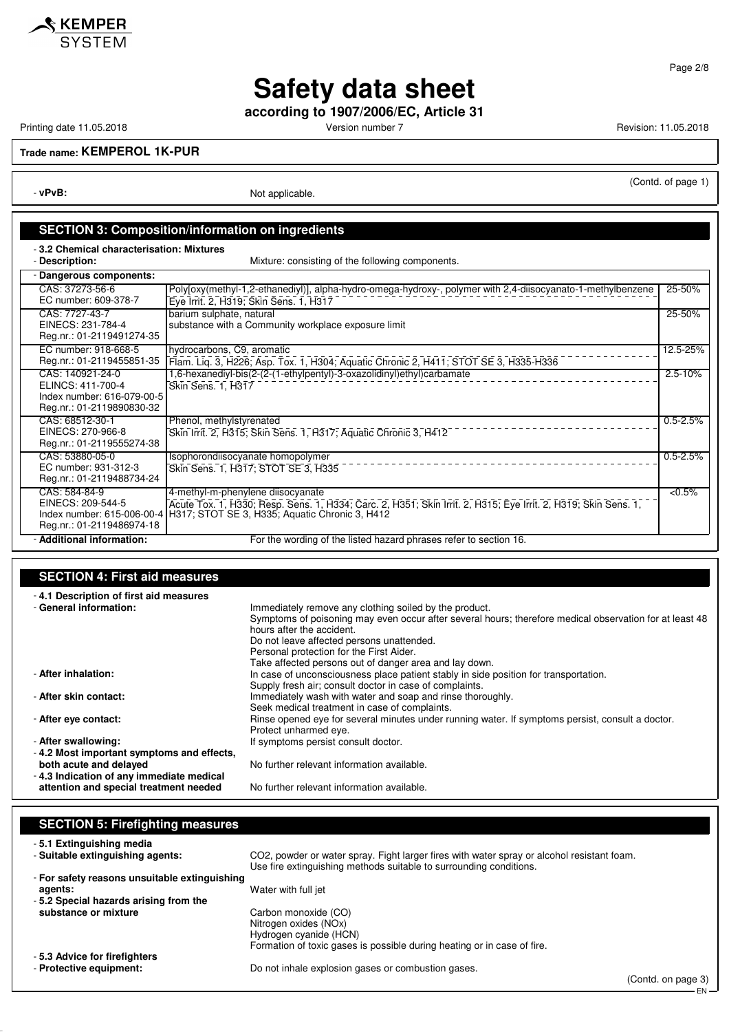

**according to 1907/2006/EC, Article 31**

Printing date 11.05.2018 **Printing date 11.05.2018** Version number 7 Revision: 11.05.2018

**KEMPER**<br>SYSTEM

(Contd. of page 1)

EN

**Trade name: KEMPEROL 1K-PUR**

- **vPvB:** Not applicable.

## **SECTION 3: Composition/information on ingredients**

- **3.2 Chemical characterisation: Mixtures**

Mixture: consisting of the following components.

| Dangerous components:                                                                            |                                                                                                                                                                                                                                    |              |
|--------------------------------------------------------------------------------------------------|------------------------------------------------------------------------------------------------------------------------------------------------------------------------------------------------------------------------------------|--------------|
| CAS: 37273-56-6<br>EC number: 609-378-7                                                          | Polyjoxy(methyl-1,2-ethanediyl)], alpha-hydro-omega-hydroxy-, polymer with 2,4-diisocyanato-1-methylbenzene<br>Eye Irrit. 2, H319; Skin Sens. 1, H317                                                                              | 25-50%       |
| CAS: 7727-43-7<br>EINECS: 231-784-4<br>Reg.nr.: 01-2119491274-35                                 | barium sulphate, natural<br>substance with a Community workplace exposure limit                                                                                                                                                    | 25-50%       |
| EC number: 918-668-5<br>Reg.nr.: 01-2119455851-35                                                | hydrocarbons, C9, aromatic<br>Flam. Liq. 3, H226; Asp. Tox. 1, H304; Aquatic Chronic 2, H411; STOT SE 3, H335-H336                                                                                                                 | 12.5-25%     |
| CAS: 140921-24-0<br>ELINCS: 411-700-4<br>Index number: 616-079-00-5<br>Reg.nr.: 01-2119890830-32 | 1,6-hexanediyl-bis(2-(2-(1-ethylpentyl)-3-oxazolidinyl)ethyl)carbamate<br>Skin Sens. 1, H317                                                                                                                                       | $2.5 - 10%$  |
| CAS: 68512-30-1<br>EINECS: 270-966-8<br>Reg.nr.: 01-2119555274-38                                | Phenol, methylstyrenated<br>Skin Irrit. 2, H315; Skin Sens. 1, H317; Aquatic Chronic 3, H412                                                                                                                                       | $0.5 - 2.5%$ |
| CAS: 53880-05-0<br>EC number: 931-312-3<br>Reg.nr.: 01-2119488734-24                             | Isophorondiisocyanate homopolymer<br>Skin Sens. 1, H317; STOT SE 3, H335                                                                                                                                                           | $0.5 - 2.5%$ |
| CAS: 584-84-9<br>EINECS: 209-544-5<br>Reg.nr.: 01-2119486974-18                                  | 4-methyl-m-phenylene diisocyanate<br>Acute Tox. 1, H330; Resp. Sens. 1, H334; Carc. 2, H351; Skin Irrit. 2, H315; Eye Irrit. 2, H319; Skin Sens. 1,<br>Index number: 615-006-00-4   H317; STOT SE 3, H335; Aquatic Chronic 3, H412 | $< 0.5\%$    |
| - Additional information:                                                                        | For the wording of the listed hazard phrases refer to section 16.                                                                                                                                                                  |              |

## **SECTION 4: First aid measures**

| -4.1 Description of first aid measures    |                                                                                                         |
|-------------------------------------------|---------------------------------------------------------------------------------------------------------|
| - General information:                    | Immediately remove any clothing soiled by the product.                                                  |
|                                           | Symptoms of poisoning may even occur after several hours; therefore medical observation for at least 48 |
|                                           | hours after the accident.                                                                               |
|                                           | Do not leave affected persons unattended.                                                               |
|                                           | Personal protection for the First Aider.                                                                |
|                                           | Take affected persons out of danger area and lay down.                                                  |
| - After inhalation:                       | In case of unconsciousness place patient stably in side position for transportation.                    |
|                                           | Supply fresh air; consult doctor in case of complaints.                                                 |
| - After skin contact:                     | Immediately wash with water and soap and rinse thoroughly.                                              |
|                                           | Seek medical treatment in case of complaints.                                                           |
| - After eve contact:                      | Rinse opened eye for several minutes under running water. If symptoms persist, consult a doctor.        |
|                                           | Protect unharmed eye.                                                                                   |
| - After swallowing:                       | If symptoms persist consult doctor.                                                                     |
| -4.2 Most important symptoms and effects, |                                                                                                         |
| both acute and delayed                    | No further relevant information available.                                                              |
| -4.3 Indication of any immediate medical  |                                                                                                         |
| attention and special treatment needed    | No further relevant information available.                                                              |

| <b>SECTION 5: Firefighting measures</b>       |                                                                                                                                                                  |
|-----------------------------------------------|------------------------------------------------------------------------------------------------------------------------------------------------------------------|
| -5.1 Extinguishing media                      |                                                                                                                                                                  |
| - Suitable extinguishing agents:              | CO2, powder or water spray. Fight larger fires with water spray or alcohol resistant foam.<br>Use fire extinguishing methods suitable to surrounding conditions. |
| - For safety reasons unsuitable extinguishing |                                                                                                                                                                  |
| agents:                                       | Water with full jet                                                                                                                                              |
| -5.2 Special hazards arising from the         |                                                                                                                                                                  |
| substance or mixture                          | Carbon monoxide (CO)                                                                                                                                             |
|                                               | Nitrogen oxides (NOx)                                                                                                                                            |
|                                               | Hydrogen cyanide (HCN)                                                                                                                                           |
|                                               | Formation of toxic gases is possible during heating or in case of fire.                                                                                          |
| -5.3 Advice for firefighters                  |                                                                                                                                                                  |
| - Protective equipment:                       | Do not inhale explosion gases or combustion gases.                                                                                                               |
|                                               | (Contd. on page 3)                                                                                                                                               |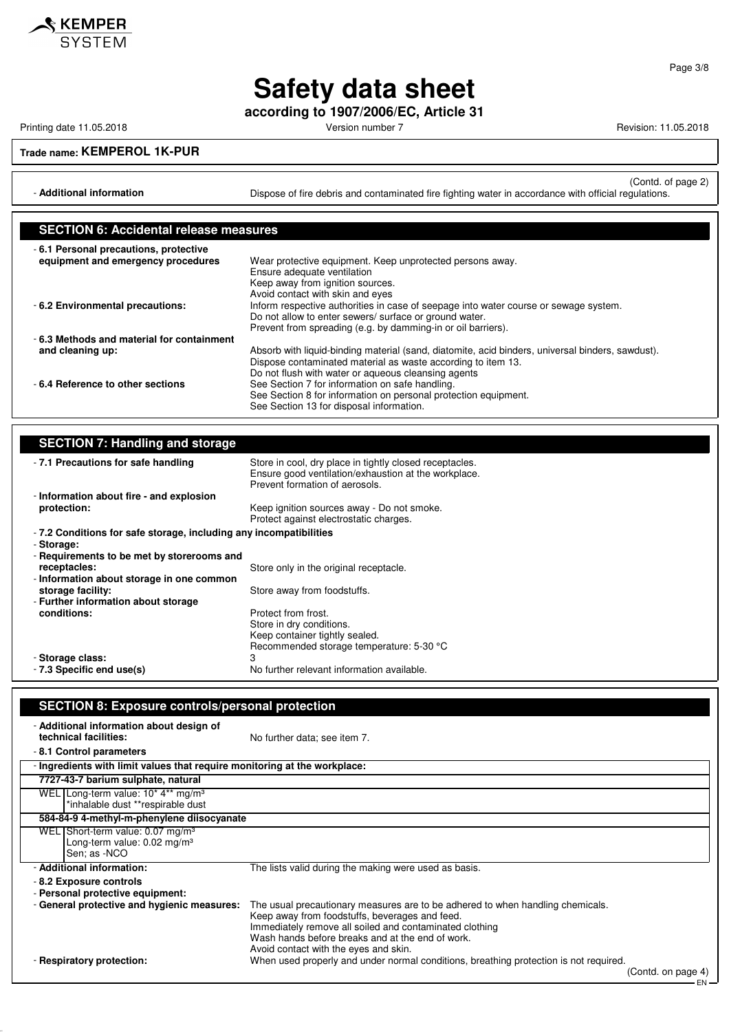

**according to 1907/2006/EC, Article 31**

Printing date 11.05.2018 **Printing date 11.05.2018** Version number 7 **Revision: 11.05.2018** Revision: 11.05.2018

### **Trade name: KEMPEROL 1K-PUR**

(Contd. of page 2) - **Additional information Dispose of fire debris and contaminated fire fighting water in accordance with official regulations.** 

| <b>SECTION 6: Accidental release measures</b> |                                                                                                  |  |
|-----------------------------------------------|--------------------------------------------------------------------------------------------------|--|
| -6.1 Personal precautions, protective         |                                                                                                  |  |
| equipment and emergency procedures            | Wear protective equipment. Keep unprotected persons away.                                        |  |
|                                               | Ensure adequate ventilation                                                                      |  |
|                                               | Keep away from ignition sources.                                                                 |  |
|                                               | Avoid contact with skin and eyes                                                                 |  |
| - 6.2 Environmental precautions:              | Inform respective authorities in case of seepage into water course or sewage system.             |  |
|                                               | Do not allow to enter sewers/ surface or ground water.                                           |  |
|                                               | Prevent from spreading (e.g. by damming-in or oil barriers).                                     |  |
| -6.3 Methods and material for containment     |                                                                                                  |  |
| and cleaning up:                              | Absorb with liquid-binding material (sand, diatomite, acid binders, universal binders, sawdust). |  |
|                                               | Dispose contaminated material as waste according to item 13.                                     |  |
|                                               | Do not flush with water or aqueous cleansing agents                                              |  |
| -6.4 Reference to other sections              | See Section 7 for information on safe handling.                                                  |  |
|                                               | See Section 8 for information on personal protection equipment.                                  |  |
|                                               | See Section 13 for disposal information.                                                         |  |

### **SECTION 7: Handling and storage**

| -7.1 Precautions for safe handling                                | Store in cool, dry place in tightly closed receptacles.<br>Ensure good ventilation/exhaustion at the workplace.<br>Prevent formation of aerosols. |  |  |
|-------------------------------------------------------------------|---------------------------------------------------------------------------------------------------------------------------------------------------|--|--|
| - Information about fire - and explosion                          |                                                                                                                                                   |  |  |
| protection:                                                       | Keep ignition sources away - Do not smoke.<br>Protect against electrostatic charges.                                                              |  |  |
| -7.2 Conditions for safe storage, including any incompatibilities |                                                                                                                                                   |  |  |
| - Storage:<br>- Requirements to be met by storerooms and          |                                                                                                                                                   |  |  |
| receptacles:                                                      | Store only in the original receptacle.                                                                                                            |  |  |
| - Information about storage in one common<br>storage facility:    | Store away from foodstuffs.                                                                                                                       |  |  |
| - Further information about storage                               |                                                                                                                                                   |  |  |
| conditions:                                                       | Protect from frost.<br>Store in dry conditions.<br>Keep container tightly sealed.<br>Recommended storage temperature: 5-30 °C                     |  |  |
| - Storage class:<br>- 7.3 Specific end use(s)                     | 3<br>No further relevant information available.                                                                                                   |  |  |

### **SECTION 8: Exposure controls/personal protection** - **Additional information about design of** No further data; see item 7. - **8.1 Control parameters** - **Ingredients with limit values that require monitoring at the workplace: 7727-43-7 barium sulphate, natural** WEL Long-term value: 10\* 4\*\* mg/m<sup>3</sup> \*inhalable dust \*\*respirable dust **584-84-9 4-methyl-m-phenylene diisocyanate** WEL Short-term value: 0.07 mg/m<sup>3</sup> Long-term value: 0.02 mg/m<sup>3</sup> Sen; as -NCO - **Additional information:** The lists valid during the making were used as basis. - **8.2 Exposure controls** - **Personal protective equipment:** The usual precautionary measures are to be adhered to when handling chemicals. Keep away from foodstuffs, beverages and feed. Immediately remove all soiled and contaminated clothing Wash hands before breaks and at the end of work. Avoid contact with the eyes and skin.

- **Respiratory protection:** When used properly and under normal conditions, breathing protection is not required.

(Contd. on page 4)

EN

Page 3/8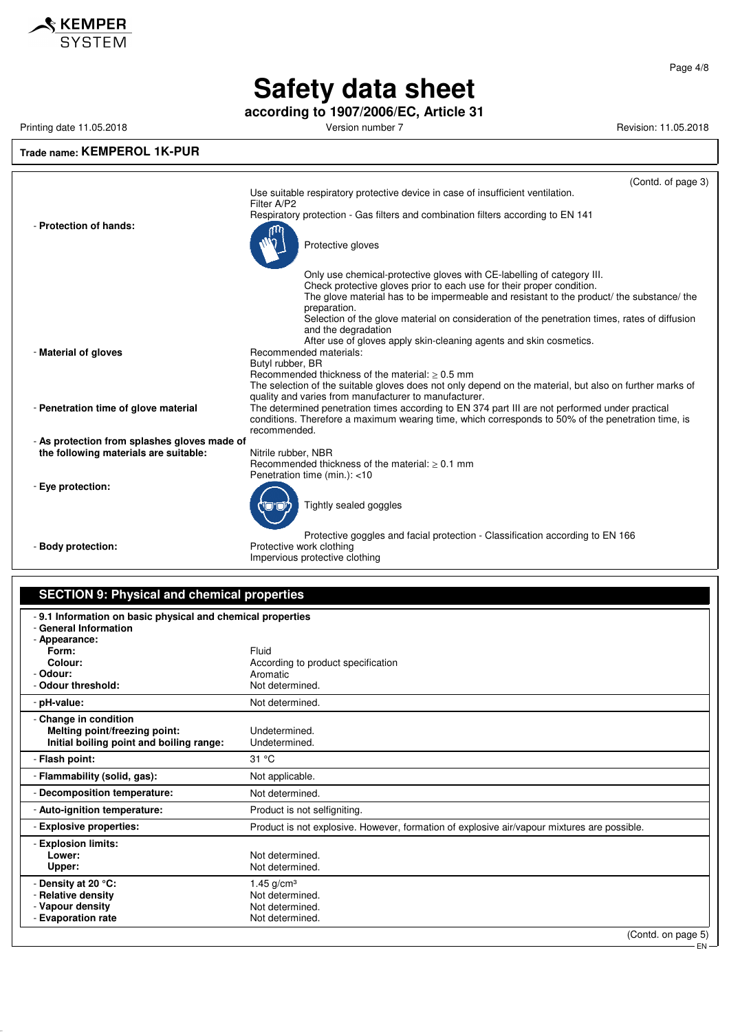

**according to 1907/2006/EC, Article 31**

Printing date 11.05.2018 **Printing date 11.05.2018** Version number 7 Revision: 11.05.2018

## **Trade name: KEMPEROL 1K-PUR**

|                                              | (Contd. of page 3)<br>Use suitable respiratory protective device in case of insufficient ventilation.                                                                                                                                        |
|----------------------------------------------|----------------------------------------------------------------------------------------------------------------------------------------------------------------------------------------------------------------------------------------------|
| - Protection of hands:                       | Filter A/P2<br>Respiratory protection - Gas filters and combination filters according to EN 141<br>rın                                                                                                                                       |
|                                              | Protective gloves                                                                                                                                                                                                                            |
|                                              | Only use chemical-protective gloves with CE-labelling of category III.<br>Check protective gloves prior to each use for their proper condition.<br>The glove material has to be impermeable and resistant to the product/ the substance/ the |
|                                              | preparation.<br>Selection of the glove material on consideration of the penetration times, rates of diffusion<br>and the degradation<br>After use of gloves apply skin-cleaning agents and skin cosmetics.                                   |
| - Material of gloves                         | Recommended materials:<br>Butyl rubber, BR<br>Recommended thickness of the material: $\geq 0.5$ mm                                                                                                                                           |
|                                              | The selection of the suitable gloves does not only depend on the material, but also on further marks of<br>quality and varies from manufacturer to manufacturer.                                                                             |
| - Penetration time of glove material         | The determined penetration times according to EN 374 part III are not performed under practical<br>conditions. Therefore a maximum wearing time, which corresponds to 50% of the penetration time, is<br>recommended.                        |
| - As protection from splashes gloves made of |                                                                                                                                                                                                                                              |
| the following materials are suitable:        | Nitrile rubber, NBR<br>Recommended thickness of the material: $> 0.1$ mm<br>Penetration time (min.): <10                                                                                                                                     |
| - Eye protection:                            | Tightly sealed goggles                                                                                                                                                                                                                       |
| - Body protection:                           | Protective goggles and facial protection - Classification according to EN 166<br>Protective work clothing                                                                                                                                    |
|                                              |                                                                                                                                                                                                                                              |

Impervious protective clothing

## **SECTION 9: Physical and chemical properties**

| - 9.1 Information on basic physical and chemical properties |                                                                                             |  |
|-------------------------------------------------------------|---------------------------------------------------------------------------------------------|--|
| - General Information                                       |                                                                                             |  |
| - Appearance:<br>Form:                                      | Fluid                                                                                       |  |
| Colour:                                                     | According to product specification                                                          |  |
| - Odour:                                                    | Aromatic                                                                                    |  |
| - Odour threshold:                                          | Not determined.                                                                             |  |
| - pH-value:                                                 | Not determined.                                                                             |  |
| - Change in condition                                       |                                                                                             |  |
| Melting point/freezing point:                               | Undetermined.                                                                               |  |
| Initial boiling point and boiling range:                    | Undetermined.                                                                               |  |
| - Flash point:                                              | 31 °C                                                                                       |  |
| - Flammability (solid, gas):                                | Not applicable.                                                                             |  |
| - Decomposition temperature:                                | Not determined.                                                                             |  |
| - Auto-ignition temperature:                                | Product is not selfigniting.                                                                |  |
| - Explosive properties:                                     | Product is not explosive. However, formation of explosive air/vapour mixtures are possible. |  |
| - Explosion limits:                                         |                                                                                             |  |
| Lower:                                                      | Not determined.                                                                             |  |
| Upper:                                                      | Not determined.                                                                             |  |
| - Density at 20 °C:                                         | 1.45 $g/cm^{3}$                                                                             |  |
| Relative density                                            | Not determined.                                                                             |  |
| - Vapour density                                            | Not determined.                                                                             |  |
| - Evaporation rate                                          | Not determined.                                                                             |  |
|                                                             | (Contd. on page 5)                                                                          |  |

(Contd. on page 5)

EN

Page 4/8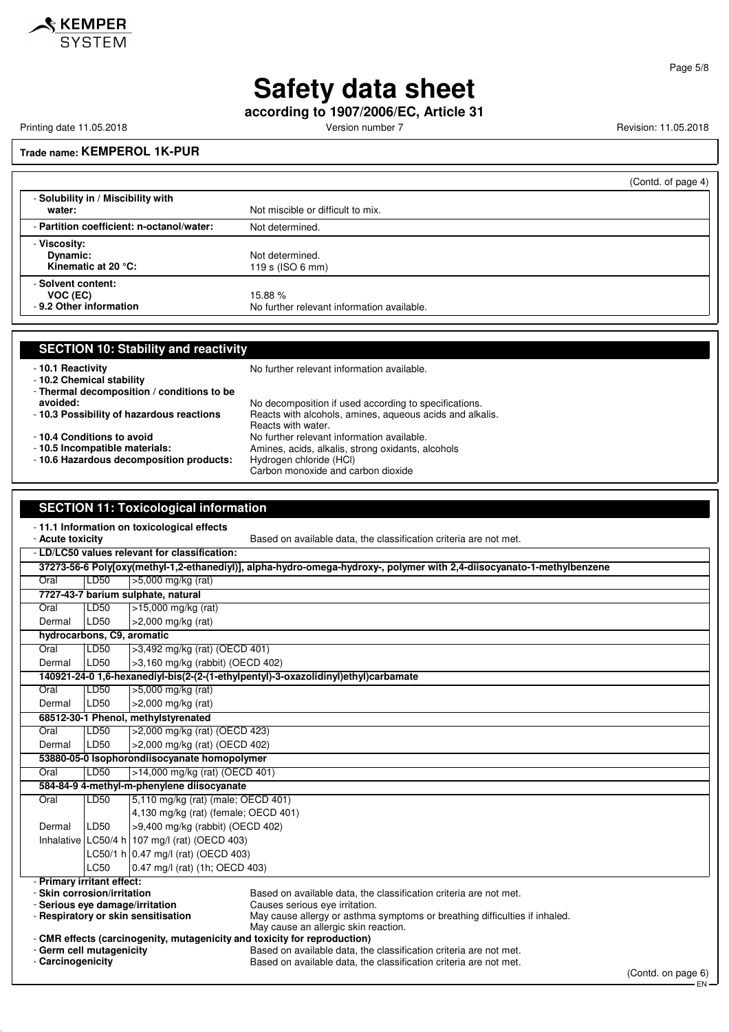**according to 1907/2006/EC, Article 31**

Printing date 11.05.2018 **Printing date 11.05.2018** Version number 7 Revision: 11.05.2018

Page 5/8

EN

## **Trade name: KEMPEROL 1K-PUR**

|                                                           | (Contd. of page 4)                                   |
|-----------------------------------------------------------|------------------------------------------------------|
| - Solubility in / Miscibility with<br>water:              | Not miscible or difficult to mix.                    |
| - Partition coefficient: n-octanol/water:                 | Not determined.                                      |
| - Viscosity:<br>Dynamic:<br>Kinematic at 20 $\degree$ C:  | Not determined.<br>119 s (ISO 6 mm)                  |
| - Solvent content:<br>VOC (EC)<br>- 9.2 Other information | 15.88%<br>No further relevant information available. |

| <b>SECTION 10: Stability and reactivity</b>  | No further relevant information available.               |
|----------------------------------------------|----------------------------------------------------------|
| -10.1 Reactivity<br>-10.2 Chemical stability |                                                          |
| - Thermal decomposition / conditions to be   |                                                          |
| avoided:                                     | No decomposition if used according to specifications.    |
| -10.3 Possibility of hazardous reactions     | Reacts with alcohols, amines, aqueous acids and alkalis. |
|                                              | Reacts with water.                                       |
| -10.4 Conditions to avoid                    | No further relevant information available.               |
| - 10.5 Incompatible materials:               | Amines, acids, alkalis, strong oxidants, alcohols        |
| - 10.6 Hazardous decomposition products:     | Hydrogen chloride (HCI)                                  |
|                                              | Carbon monoxide and carbon dioxide                       |
|                                              |                                                          |
|                                              |                                                          |
| <b>SECTION 11: Toxicological information</b> |                                                          |

| -11.1 Information on toxicological effects<br>- Acute toxicity<br>Based on available data, the classification criteria are not met.                                                                              |                                              |                                               |                                                                                                                                                                                                                           |                    |
|------------------------------------------------------------------------------------------------------------------------------------------------------------------------------------------------------------------|----------------------------------------------|-----------------------------------------------|---------------------------------------------------------------------------------------------------------------------------------------------------------------------------------------------------------------------------|--------------------|
| - LD/LC50 values relevant for classification:                                                                                                                                                                    |                                              |                                               |                                                                                                                                                                                                                           |                    |
| 37273-56-6 Poly[oxy(methyl-1,2-ethanediyl)], alpha-hydro-omega-hydroxy-, polymer with 2,4-diisocyanato-1-methylbenzene                                                                                           |                                              |                                               |                                                                                                                                                                                                                           |                    |
| Oral                                                                                                                                                                                                             | LD50                                         | >5,000 mg/kg (rat)                            |                                                                                                                                                                                                                           |                    |
|                                                                                                                                                                                                                  |                                              | 7727-43-7 barium sulphate, natural            |                                                                                                                                                                                                                           |                    |
| Oral                                                                                                                                                                                                             | LD <sub>50</sub>                             | $>15,000$ mg/kg (rat)                         |                                                                                                                                                                                                                           |                    |
| Dermal                                                                                                                                                                                                           | LD50                                         | $>2,000$ mg/kg (rat)                          |                                                                                                                                                                                                                           |                    |
| hydrocarbons, C9, aromatic                                                                                                                                                                                       |                                              |                                               |                                                                                                                                                                                                                           |                    |
| Oral                                                                                                                                                                                                             | LD <sub>50</sub>                             | >3,492 mg/kg (rat) (OECD 401)                 |                                                                                                                                                                                                                           |                    |
| Dermal                                                                                                                                                                                                           | LD50                                         | >3,160 mg/kg (rabbit) (OECD 402)              |                                                                                                                                                                                                                           |                    |
|                                                                                                                                                                                                                  |                                              |                                               | 140921-24-0 1,6-hexanediyl-bis(2-(2-(1-ethylpentyl)-3-oxazolidinyl)ethyl)carbamate                                                                                                                                        |                    |
| Oral                                                                                                                                                                                                             | LD50                                         | >5,000 mg/kg (rat)                            |                                                                                                                                                                                                                           |                    |
| Dermal                                                                                                                                                                                                           | LD50                                         | >2,000 mg/kg (rat)                            |                                                                                                                                                                                                                           |                    |
|                                                                                                                                                                                                                  |                                              | 68512-30-1 Phenol, methylstyrenated           |                                                                                                                                                                                                                           |                    |
| Oral                                                                                                                                                                                                             | LD50                                         | >2,000 mg/kg (rat) (OECD 423)                 |                                                                                                                                                                                                                           |                    |
| Dermal                                                                                                                                                                                                           | LD50                                         | >2,000 mg/kg (rat) (OECD 402)                 |                                                                                                                                                                                                                           |                    |
|                                                                                                                                                                                                                  | 53880-05-0 Isophorondiisocyanate homopolymer |                                               |                                                                                                                                                                                                                           |                    |
| Oral                                                                                                                                                                                                             | LD50                                         | >14,000 mg/kg (rat) (OECD 401)                |                                                                                                                                                                                                                           |                    |
|                                                                                                                                                                                                                  |                                              | 584-84-9 4-methyl-m-phenylene diisocyanate    |                                                                                                                                                                                                                           |                    |
| Oral                                                                                                                                                                                                             | LD50                                         | [5,110 mg/kg (rat) (male; OECD 401)           |                                                                                                                                                                                                                           |                    |
|                                                                                                                                                                                                                  |                                              | 4,130 mg/kg (rat) (female; OECD 401)          |                                                                                                                                                                                                                           |                    |
| Dermal                                                                                                                                                                                                           | LD50                                         | >9,400 mg/kg (rabbit) (OECD 402)              |                                                                                                                                                                                                                           |                    |
|                                                                                                                                                                                                                  |                                              | Inhalative LC50/4 h 107 mg/l (rat) (OECD 403) |                                                                                                                                                                                                                           |                    |
|                                                                                                                                                                                                                  |                                              | LC50/1 h 0.47 mg/l (rat) (OECD 403)           |                                                                                                                                                                                                                           |                    |
|                                                                                                                                                                                                                  | LC50                                         | 0.47 mg/l (rat) (1h; OECD 403)                |                                                                                                                                                                                                                           |                    |
| - Primary irritant effect:<br>- Skin corrosion/irritation<br>- Serious eye damage/irritation<br>- Respiratory or skin sensitisation<br>- CMR effects (carcinogenity, mutagenicity and toxicity for reproduction) |                                              |                                               | Based on available data, the classification criteria are not met.<br>Causes serious eve irritation.<br>May cause allergy or asthma symptoms or breathing difficulties if inhaled.<br>May cause an allergic skin reaction. |                    |
| - Germ cell mutagenicity<br>- Carcinogenicity                                                                                                                                                                    |                                              |                                               | Based on available data, the classification criteria are not met.<br>Based on available data, the classification criteria are not met.                                                                                    | (Contd. on page 6) |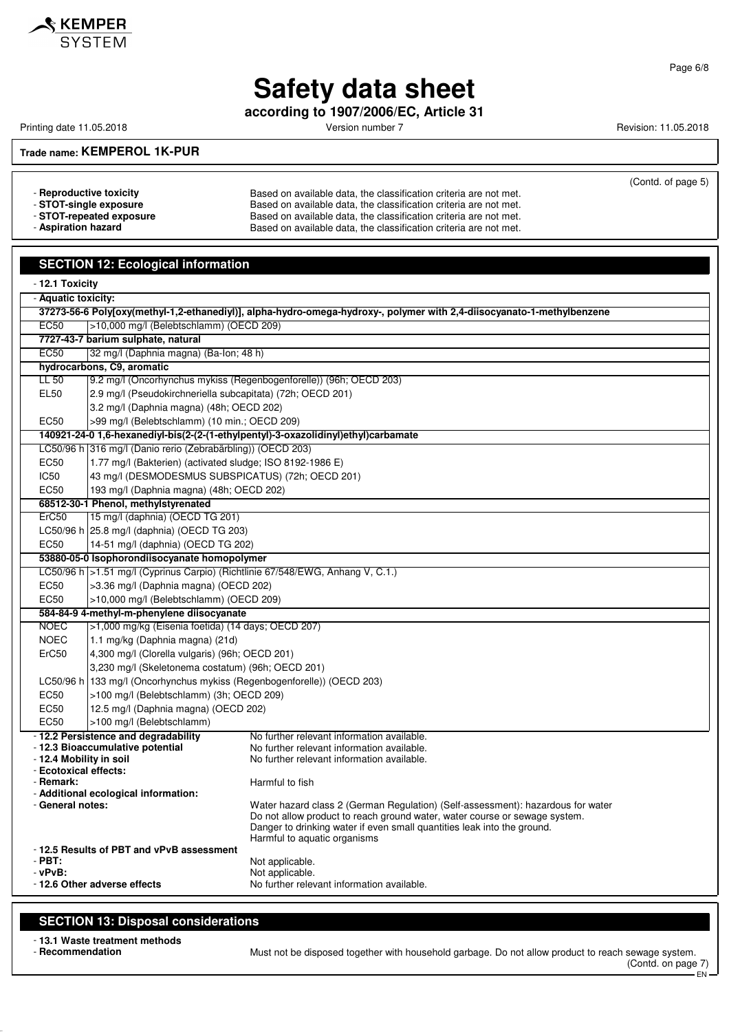

**according to 1907/2006/EC, Article 31**

Printing date 11.05.2018 **Printing date 11.05.2018** Version number 7 **Revision: 11.05.2018** 

(Contd. of page 5)

**Trade name: KEMPEROL 1K-PUR**

- **Reproductive toxicity** Based on available data, the classification criteria are not met.<br>- **STOT-single exposure Based on available data, the classification criteria are not met.** Based on available data, the classification criteria are not met. - **STOT-repeated exposure** Based on available data, the classification criteria are not met.<br>- **Aspiration hazard** Based on available data, the classification criteria are not met. Based on available data, the classification criteria are not met.

## **SECTION 12: Ecological information**

| - 12.1 Toxicity                                                                                                        |                                                                                   |                                                                                    |  |
|------------------------------------------------------------------------------------------------------------------------|-----------------------------------------------------------------------------------|------------------------------------------------------------------------------------|--|
| - Aquatic toxicity:                                                                                                    |                                                                                   |                                                                                    |  |
| 37273-56-6 Polyjoxy(methyl-1,2-ethanediyl)], alpha-hydro-omega-hydroxy-, polymer with 2,4-diisocyanato-1-methylbenzene |                                                                                   |                                                                                    |  |
| <b>EC50</b>                                                                                                            | >10,000 mg/l (Belebtschlamm) (OECD 209)                                           |                                                                                    |  |
|                                                                                                                        | 7727-43-7 barium sulphate, natural                                                |                                                                                    |  |
| <b>EC50</b>                                                                                                            | 32 mg/l (Daphnia magna) (Ba-lon; 48 h)                                            |                                                                                    |  |
|                                                                                                                        | hydrocarbons, C9, aromatic                                                        |                                                                                    |  |
| $LL$ 50                                                                                                                |                                                                                   | 9.2 mg/l (Oncorhynchus mykiss (Regenbogenforelle)) (96h; OECD 203)                 |  |
| <b>EL50</b>                                                                                                            | 2.9 mg/l (Pseudokirchneriella subcapitata) (72h; OECD 201)                        |                                                                                    |  |
|                                                                                                                        | 3.2 mg/l (Daphnia magna) (48h; OECD 202)                                          |                                                                                    |  |
| EC50                                                                                                                   | >99 mg/l (Belebtschlamm) (10 min.; OECD 209)                                      |                                                                                    |  |
|                                                                                                                        |                                                                                   | 140921-24-0 1,6-hexanediyl-bis(2-(2-(1-ethylpentyl)-3-oxazolidinyl)ethyl)carbamate |  |
|                                                                                                                        | LC50/96 h 316 mg/l (Danio rerio (Zebrabärbling)) (OECD 203)                       |                                                                                    |  |
| <b>EC50</b>                                                                                                            | 1.77 mg/l (Bakterien) (activated sludge; ISO 8192-1986 E)                         |                                                                                    |  |
| <b>IC50</b>                                                                                                            | 43 mg/l (DESMODESMUS SUBSPICATUS) (72h; OECD 201)                                 |                                                                                    |  |
| EC50                                                                                                                   | 193 mg/l (Daphnia magna) (48h; OECD 202)                                          |                                                                                    |  |
| ErC50                                                                                                                  | 68512-30-1 Phenol, methylstyrenated                                               |                                                                                    |  |
|                                                                                                                        | 15 mg/l (daphnia) (OECD TG 201)                                                   |                                                                                    |  |
| EC50                                                                                                                   | LC50/96 h 25.8 mg/l (daphnia) (OECD TG 203)<br>14-51 mg/l (daphnia) (OECD TG 202) |                                                                                    |  |
|                                                                                                                        | 53880-05-0 Isophorondiisocyanate homopolymer                                      |                                                                                    |  |
|                                                                                                                        |                                                                                   | LC50/96 h > 1.51 mg/l (Cyprinus Carpio) (Richtlinie 67/548/EWG, Anhang V, C.1.)    |  |
| EC50                                                                                                                   | >3.36 mg/l (Daphnia magna) (OECD 202)                                             |                                                                                    |  |
| EC50                                                                                                                   | >10,000 mg/l (Belebtschlamm) (OECD 209)                                           |                                                                                    |  |
|                                                                                                                        | 584-84-9 4-methyl-m-phenylene diisocyanate                                        |                                                                                    |  |
| <b>NOEC</b>                                                                                                            | >1,000 mg/kg (Eisenia foetida) (14 days; OECD 207)                                |                                                                                    |  |
| <b>NOEC</b>                                                                                                            | 1.1 mg/kg (Daphnia magna) (21d)                                                   |                                                                                    |  |
| ErC50                                                                                                                  | 4,300 mg/l (Clorella vulgaris) (96h; OECD 201)                                    |                                                                                    |  |
|                                                                                                                        | 3,230 mg/l (Skeletonema costatum) (96h; OECD 201)                                 |                                                                                    |  |
| LC50/96 h                                                                                                              | 133 mg/l (Oncorhynchus mykiss (Regenbogenforelle)) (OECD 203)                     |                                                                                    |  |
| EC50                                                                                                                   | >100 mg/l (Belebtschlamm) (3h; OECD 209)                                          |                                                                                    |  |
| EC50                                                                                                                   | 12.5 mg/l (Daphnia magna) (OECD 202)                                              |                                                                                    |  |
| EC50                                                                                                                   | >100 mg/l (Belebtschlamm)                                                         |                                                                                    |  |
|                                                                                                                        | - 12.2 Persistence and degradability                                              | No further relevant information available.                                         |  |
|                                                                                                                        | - 12.3 Bioaccumulative potential                                                  | No further relevant information available.                                         |  |
| - 12.4 Mobility in soil                                                                                                |                                                                                   | No further relevant information available.                                         |  |
| - Ecotoxical effects:                                                                                                  |                                                                                   |                                                                                    |  |
| - Remark:                                                                                                              | - Additional ecological information:                                              | Harmful to fish                                                                    |  |
| - General notes:                                                                                                       |                                                                                   | Water hazard class 2 (German Regulation) (Self-assessment): hazardous for water    |  |
|                                                                                                                        |                                                                                   | Do not allow product to reach ground water, water course or sewage system.         |  |
|                                                                                                                        |                                                                                   | Danger to drinking water if even small quantities leak into the ground.            |  |
|                                                                                                                        | - 12.5 Results of PBT and vPvB assessment                                         | Harmful to aquatic organisms                                                       |  |
| $-PBT:$                                                                                                                |                                                                                   | Not applicable.                                                                    |  |
| $-vPvB$ :                                                                                                              |                                                                                   | Not applicable.                                                                    |  |
|                                                                                                                        | -12.6 Other adverse effects                                                       | No further relevant information available.                                         |  |
|                                                                                                                        |                                                                                   |                                                                                    |  |

### **SECTION 13: Disposal considerations**

- **13.1 Waste treatment methods**

- **Recommendation** Must not be disposed together with household garbage. Do not allow product to reach sewage system. (Contd. on page 7) EN

Page 6/8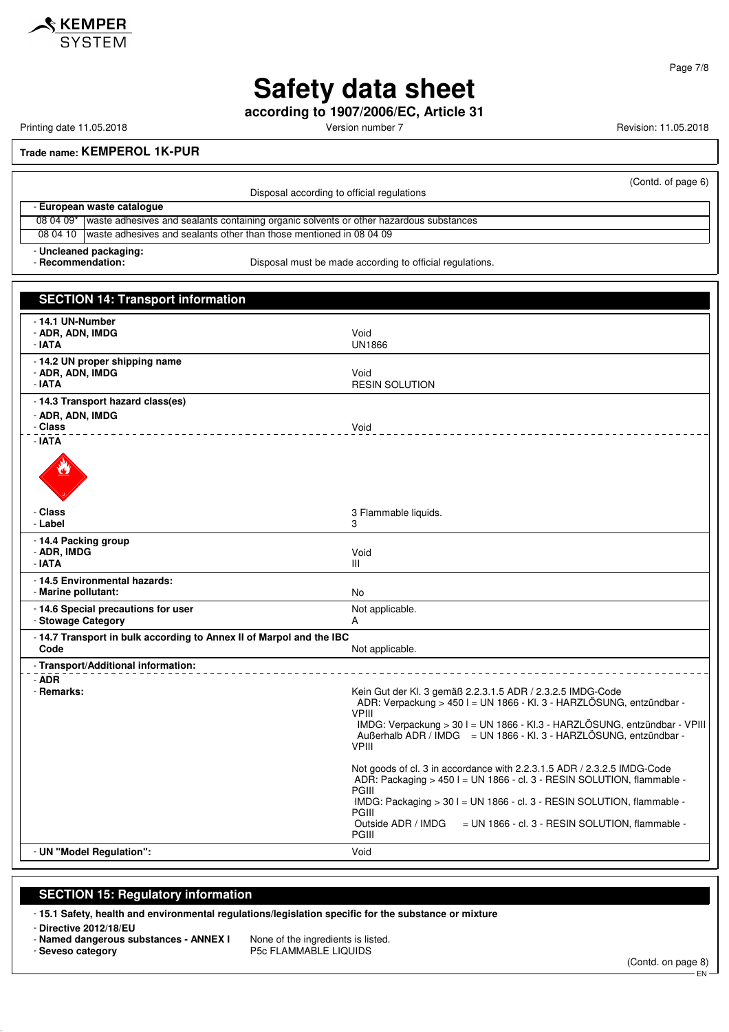

**according to 1907/2006/EC, Article 31**

Printing date 11.05.2018 **Printing date 11.05.2018** Version number 7 **Revision: 11.05.2018** 

**Trade name: KEMPEROL 1K-PUR**

|                                                                                                         | Disposal according to official regulations                                                       | (Contd. of page 6) |
|---------------------------------------------------------------------------------------------------------|--------------------------------------------------------------------------------------------------|--------------------|
|                                                                                                         | - European waste catalogue                                                                       |                    |
|                                                                                                         | 08 04 09* waste adhesives and sealants containing organic solvents or other hazardous substances |                    |
| 08 04 10                                                                                                | waste adhesives and sealants other than those mentioned in 08 04 09                              |                    |
| - Uncleaned packaging:<br>Disposal must be made according to official regulations.<br>- Recommendation: |                                                                                                  |                    |

| <b>SECTION 14: Transport information</b>                                     |                                                                                                                                                                                                                                                                                                                                                                                                                                                                                                                                                                |
|------------------------------------------------------------------------------|----------------------------------------------------------------------------------------------------------------------------------------------------------------------------------------------------------------------------------------------------------------------------------------------------------------------------------------------------------------------------------------------------------------------------------------------------------------------------------------------------------------------------------------------------------------|
| - 14.1 UN-Number<br>- ADR, ADN, IMDG<br>- IATA                               | Void<br><b>UN1866</b>                                                                                                                                                                                                                                                                                                                                                                                                                                                                                                                                          |
| - 14.2 UN proper shipping name<br>- ADR, ADN, IMDG<br>- IATA                 | Void<br><b>RESIN SOLUTION</b>                                                                                                                                                                                                                                                                                                                                                                                                                                                                                                                                  |
| - 14.3 Transport hazard class(es)<br>- ADR, ADN, IMDG<br>- Class             | Void                                                                                                                                                                                                                                                                                                                                                                                                                                                                                                                                                           |
| - IATA                                                                       |                                                                                                                                                                                                                                                                                                                                                                                                                                                                                                                                                                |
| - Class<br>- Label                                                           | 3 Flammable liquids.<br>3                                                                                                                                                                                                                                                                                                                                                                                                                                                                                                                                      |
| - 14.4 Packing group<br>- ADR, IMDG<br>- IATA                                | Void<br>Ш                                                                                                                                                                                                                                                                                                                                                                                                                                                                                                                                                      |
| - 14.5 Environmental hazards:<br>- Marine pollutant:                         | No                                                                                                                                                                                                                                                                                                                                                                                                                                                                                                                                                             |
| - 14.6 Special precautions for user<br>- Stowage Category                    | Not applicable.<br>A                                                                                                                                                                                                                                                                                                                                                                                                                                                                                                                                           |
| - 14.7 Transport in bulk according to Annex II of Marpol and the IBC<br>Code | Not applicable.                                                                                                                                                                                                                                                                                                                                                                                                                                                                                                                                                |
| - Transport/Additional information:                                          |                                                                                                                                                                                                                                                                                                                                                                                                                                                                                                                                                                |
| - ADR<br>- Remarks:                                                          | Kein Gut der Kl. 3 gemäß 2.2.3.1.5 ADR / 2.3.2.5 IMDG-Code<br>ADR: Verpackung > 450 l = UN 1866 - Kl. 3 - HARZLÖSUNG, entzündbar -<br><b>VPIII</b><br>IMDG: Verpackung > 30 l = UN 1866 - KI.3 - HARZLÖSUNG, entzündbar - VPIII<br>Außerhalb ADR / IMDG = UN 1866 - Kl. 3 - HARZLÖSUNG, entzündbar -<br><b>VPIII</b><br>Not goods of cl. 3 in accordance with 2.2.3.1.5 ADR / 2.3.2.5 IMDG-Code<br>ADR: Packaging > 450 l = UN 1866 - cl. 3 - RESIN SOLUTION, flammable -<br>PGIII<br>IMDG: Packaging $>$ 30 I = UN 1866 - cl. 3 - RESIN SOLUTION, flammable - |
|                                                                              | <b>PGIII</b><br>Outside ADR / IMDG<br>$=$ UN 1866 - cl. 3 - RESIN SOLUTION, flammable -<br>PGIII                                                                                                                                                                                                                                                                                                                                                                                                                                                               |
| - UN "Model Regulation":                                                     | Void                                                                                                                                                                                                                                                                                                                                                                                                                                                                                                                                                           |
|                                                                              |                                                                                                                                                                                                                                                                                                                                                                                                                                                                                                                                                                |

## **SECTION 15: Regulatory information**

- **15.1 Safety, health and environmental regulations/legislation specific for the substance or mixture**

- **Directive 2012/18/EU**

- **Named dangerous substances ANNEX I** None of the ingredients is listed.
- **Seveso category P5c FLAMMABLE LIQUIDS**

(Contd. on page 8) .<br>FN